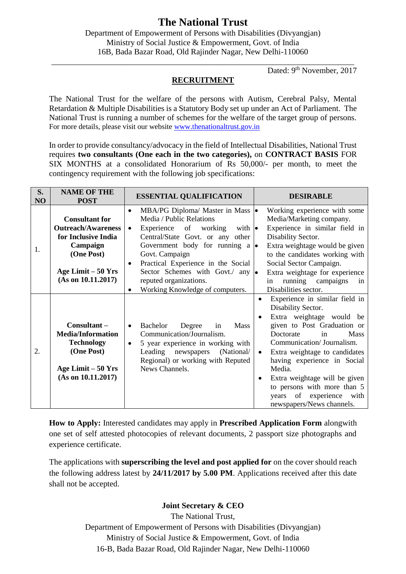# **The National Trust**

Department of Empowerment of Persons with Disabilities (Divyangjan) Ministry of Social Justice & Empowerment, Govt. of India 16B, Bada Bazar Road, Old Rajinder Nagar, New Delhi-110060

Dated: 9<sup>th</sup> November, 2017

#### **RECRUITMENT**

\_\_\_\_\_\_\_\_\_\_\_\_\_\_\_\_\_\_\_\_\_\_\_\_\_\_\_\_\_\_\_\_\_\_\_\_\_\_\_\_\_\_\_\_\_\_\_\_\_\_\_\_\_\_\_\_\_\_\_\_\_\_\_\_\_\_\_\_\_\_\_\_\_\_

The National Trust for the welfare of the persons with Autism, Cerebral Palsy, Mental Retardation & Multiple Disabilities is a Statutory Body set up under an Act of Parliament. The National Trust is running a number of schemes for the welfare of the target group of persons. For more details, please visit our website [www.thenationaltrust.gov.in](http://www.thenationaltrust.gov.in/)

In order to provide consultancy/advocacy in the field of Intellectual Disabilities, National Trust requires **two consultants (One each in the two categories),** on **CONTRACT BASIS** FOR SIX MONTHS at a consolidated Honorarium of Rs 50,000/- per month, to meet the contingency requirement with the following job specifications:

| S.<br>NO | <b>NAME OF THE</b><br><b>POST</b>                                                                                                                | <b>ESSENTIAL QUALIFICATION</b>                                                                                                                                                                                                                                                                                                                                                                                        | <b>DESIRABLE</b>                                                                                                                                                                                                                                                                                                                                                                                     |
|----------|--------------------------------------------------------------------------------------------------------------------------------------------------|-----------------------------------------------------------------------------------------------------------------------------------------------------------------------------------------------------------------------------------------------------------------------------------------------------------------------------------------------------------------------------------------------------------------------|------------------------------------------------------------------------------------------------------------------------------------------------------------------------------------------------------------------------------------------------------------------------------------------------------------------------------------------------------------------------------------------------------|
| 1.       | <b>Consultant for</b><br><b>Outreach/Awareness</b><br>for Inclusive India<br>Campaign<br>(One Post)<br>Age Limit $-50$ Yrs<br>(As on 10.11.2017) | MBA/PG Diploma/ Master in Mass $  \bullet  $<br>$\bullet$<br>Media / Public Relations<br>Experience of<br>working<br>with $\bullet$<br>$\bullet$<br>Central/State Govt. or any other<br>Government body for running a $\bullet$<br>Govt. Campaign<br>Practical Experience in the Social<br>$\bullet$<br>Sector Schemes with Govt. $\alpha$ any $\bullet$<br>reputed organizations.<br>Working Knowledge of computers. | Working experience with some<br>Media/Marketing company.<br>Experience in similar field in<br>Disability Sector.<br>Extra weightage would be given<br>to the candidates working with<br>Social Sector Campaign.<br>Extra weightage for experience<br>running campaigns<br>in<br>in<br>Disabilities sector.                                                                                           |
| 2.       | Consultant-<br><b>Media/Information</b><br><b>Technology</b><br>(One Post)<br>Age Limit $-50$ Yrs<br>(As on 10.11.2017)                          | Bachelor<br><b>Mass</b><br>Degree<br>in<br>$\bullet$<br>Communication/Journalism.<br>5 year experience in working with<br>$\bullet$<br>(National/<br>Leading newspapers<br>Regional) or working with Reputed<br>News Channels.                                                                                                                                                                                        | Experience in similar field in<br>$\bullet$<br>Disability Sector.<br>Extra weightage would be<br>given to Post Graduation or<br>Mass<br>Doctorate<br>in<br>Communication/Journalism.<br>Extra weightage to candidates<br>$\bullet$<br>having experience in Social<br>Media.<br>Extra weightage will be given<br>to persons with more than 5<br>years of experience with<br>newspapers/News channels. |

**How to Apply:** Interested candidates may apply in **Prescribed Application Form** alongwith one set of self attested photocopies of relevant documents, 2 passport size photographs and experience certificate.

The applications with **superscribing the level and post applied for** on the cover should reach the following address latest by **24/11/2017 by 5.00 PM**. Applications received after this date shall not be accepted.

### **Joint Secretary & CEO**

The National Trust, Department of Empowerment of Persons with Disabilities (Divyangjan) Ministry of Social Justice & Empowerment, Govt. of India 16-B, Bada Bazar Road, Old Rajinder Nagar, New Delhi-110060